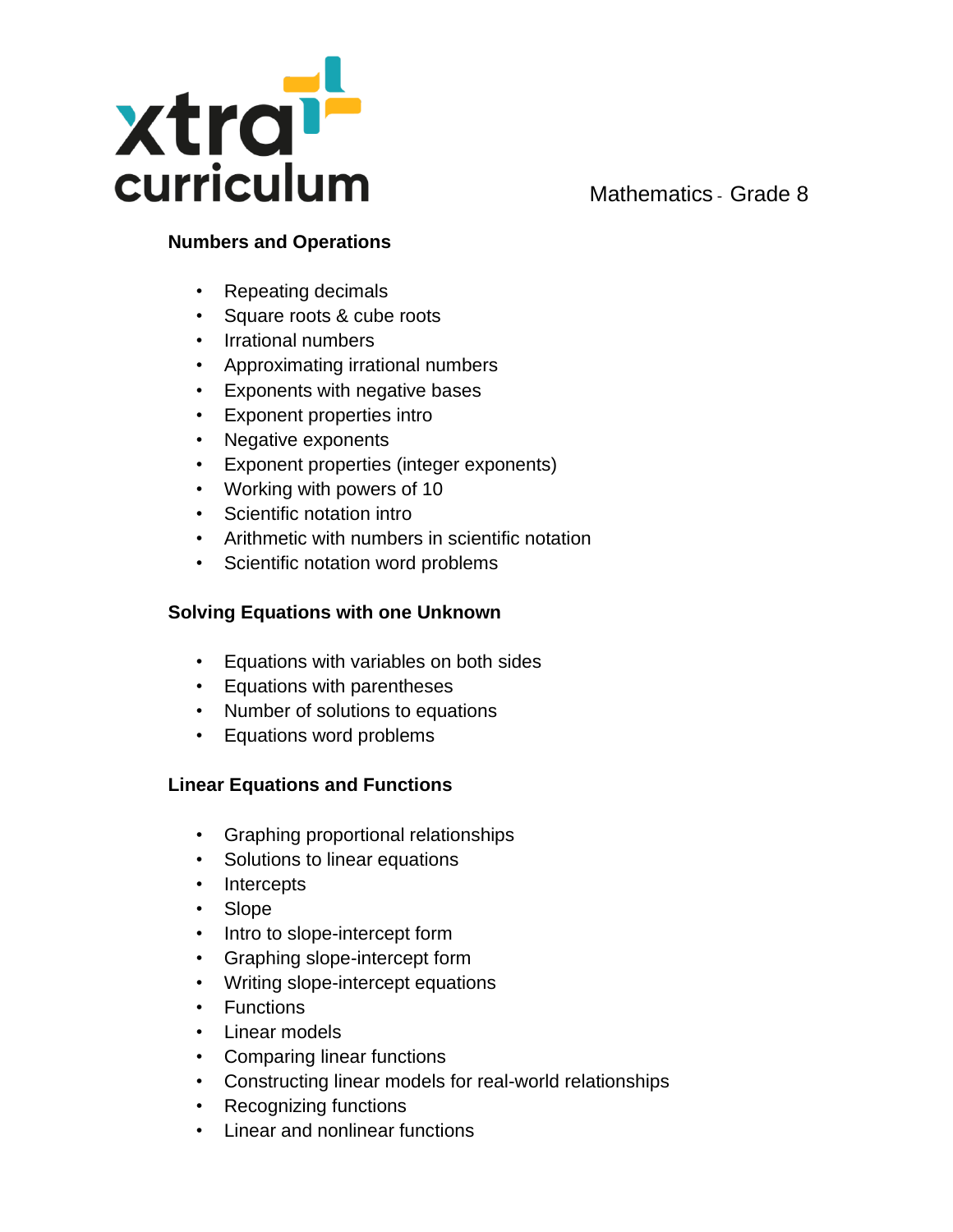

# **Numbers and Operations**

- Repeating decimals
- Square roots & cube roots
- Irrational numbers
- Approximating irrational numbers
- Exponents with negative bases
- Exponent properties intro
- Negative exponents
- Exponent properties (integer exponents)
- Working with powers of 10
- Scientific notation intro
- Arithmetic with numbers in scientific notation
- Scientific notation word problems

#### **Solving Equations with one Unknown**

- Equations with variables on both sides
- Equations with parentheses
- Number of solutions to equations
- Equations word problems

### **Linear Equations and Functions**

- Graphing proportional relationships
- Solutions to linear equations
- Intercepts
- Slope
- Intro to slope-intercept form
- Graphing slope-intercept form
- Writing slope-intercept equations
- Functions
- Linear models
- Comparing linear functions
- Constructing linear models for real-world relationships
- Recognizing functions
- Linear and nonlinear functions